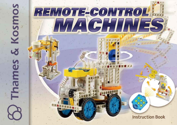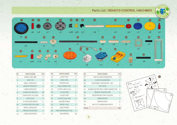## Parts List | REMOTE-CONTROL MACHINES





| NO                       | <b>PARTS NAME</b>     | <b>PCS</b>     |  |
|--------------------------|-----------------------|----------------|--|
| 1                        | WHEEL AND TIRE        | 4              |  |
| $\overline{\mathcal{L}}$ | JOINT PIN             | 6              |  |
| 3                        | SMALL SPROCKET        | 3              |  |
| 4                        | MEDIUM SPROCKET       | 1              |  |
| 5                        | <b>LARGE SPROCKET</b> | 1              |  |
| 6                        | CHAIN UNIT (BLACK)    | 28             |  |
| 7                        | CHAIN UNIT (YELLOW)   | 25             |  |
| 8                        | <b>AXLE LOCK</b>      | $\overline{c}$ |  |
| 9                        | 11-HOLE ROD (GRAY)    | 6              |  |
| 10                       | 11-HOLE ROD (YELLOW)  | 3              |  |
| 11                       | SMALL GEAR (20T)      | 4              |  |
| 12.                      | MEDIUM GEAR (40T)     | 1              |  |
| 13                       | LARGE GEAR (60T)      | 3              |  |

| NO  | <b>PARTS NAME</b>   | PCS                      |  |
|-----|---------------------|--------------------------|--|
| 14  | <b>SHAFT PIN</b>    | 2                        |  |
| 15  | LONG AXI F          | $\overline{\mathcal{L}}$ |  |
| 16  | MOTOR AXI F         | 1                        |  |
| 17  | ROD CONNECTOR       | 1                        |  |
| 18  | FXTRA LONG AXLE     | 1                        |  |
| 19  | 3-HOLE ROD          | 6                        |  |
| 20  | 5-HOI F ROD         | 2                        |  |
| 21  | 3-HOLF DUAL ROD     | 5                        |  |
| 22. | <b>SOUARE FRAME</b> | 7                        |  |
| 23  | <b>SHORT AXI F</b>  | $\overline{c}$           |  |
| 24  | I ONG FRAMF         | 5                        |  |
| 25  | PART SEPARATOR TOOL | 1                        |  |
| 26  | <b>ANCHOR PIN</b>   | 26                       |  |

| NΟ    | <b>PARTS NAME</b>                | PCS          |
|-------|----------------------------------|--------------|
| 27    | TWO-TO-ONF CONVERTER             | 13           |
| 28    | <b>CURVED ELBOW ROD</b>          | $\mathbf{1}$ |
| 29    | 90 DEGREE CONVERTER - I FFT      | 4            |
| 30    | 80T GFAR                         | $\mathbf{1}$ |
| 31    | GEARED MOTOR WITH WIRE CONNECTOR | 3            |
| 32.   | REMOTE CONTROLLER                | 1            |
| 33    | RECEIVER/BATTERY HOLDER          | 1            |
| 34    | WORM GFAR II                     | 3            |
| 35    | MFDIUM AXI F                     | Ⴌ            |
| 36    | DIE-CUT CARDBOARD PIECES         | 1            |
| TOTAI |                                  | 182          |
|       |                                  |              |

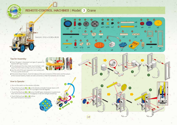

## REMOTE-CONTROL MACHINES | Model 3 Crane





4

14

**4**

**2**

**6**

**5**

**3**

**A**

**B**

## Tips for Assembly:

- Press the gear A downward and gear B upward to hold the 80T Gear in place.
- $\bullet$  The wheels and the drive chain must be kept  $1$  mm  $\,$ away from the frame so they can turn smoothly.
- Use the end of the part separator tool marked with "A" to pry up the anchor pin.
- If the motor doesn't work, check to make sure the wire connector of the motor and the output of the receiver/battery holder are well connected, or that the batteries are not dead.

**1**

**3 2 5**

## How to Operate:

1. Turn on the switch on the remote controller.

- 2. Touch the touch pad **2** or **5** on the remote controller to lower down or lift up the long crane arm. Don't lift it up higher than 90 degrees.
- 3. Touch the touch pad **3** or **6** to turn the 80T gear clockwise or counterclock-wise. Don't turn it more than 270 degrees or the wire will get twisted up.
- 4. Touch the touch pad **1** or **4** to drive the crane forward or backward.



5